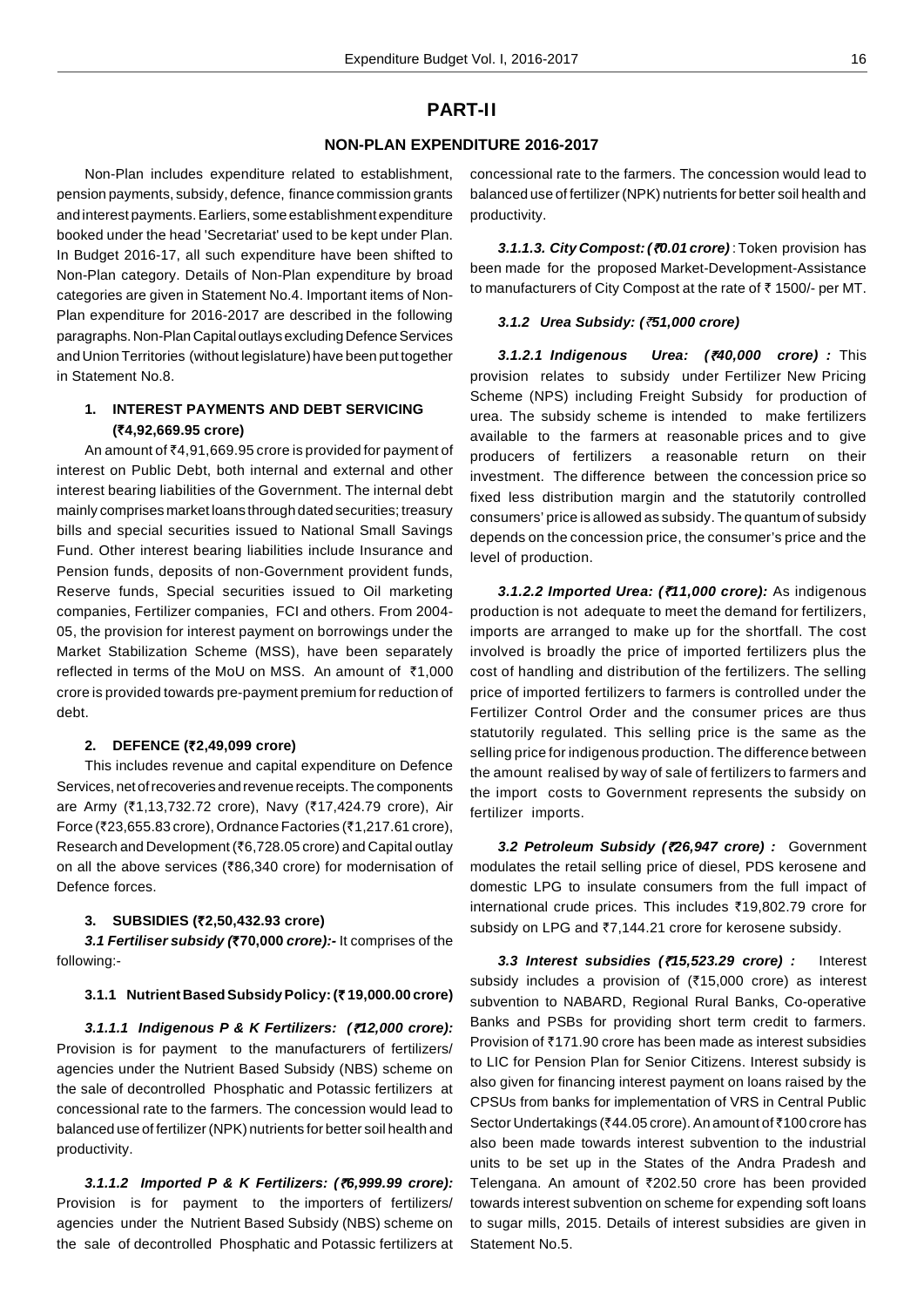# **PART-II**

## **NON-PLAN EXPENDITURE 2016-2017**

Non-Plan includes expenditure related to establishment, pension payments, subsidy, defence, finance commission grants and interest payments. Earliers, some establishment expenditure booked under the head 'Secretariat' used to be kept under Plan. In Budget 2016-17, all such expenditure have been shifted to Non-Plan category. Details of Non-Plan expenditure by broad categories are given in Statement No.4. Important items of Non-Plan expenditure for 2016-2017 are described in the following paragraphs. Non-Plan Capital outlays excluding Defence Services and Union Territories (without legislature) have been put together in Statement No.8.

# **1. INTEREST PAYMENTS AND DEBT SERVICING (`4,92,669.95 crore)**

An amount of ₹4,91,669.95 crore is provided for payment of interest on Public Debt, both internal and external and other interest bearing liabilities of the Government. The internal debt mainly comprises market loans through dated securities; treasury bills and special securities issued to National Small Savings Fund. Other interest bearing liabilities include Insurance and Pension funds, deposits of non-Government provident funds, Reserve funds, Special securities issued to Oil marketing companies, Fertilizer companies, FCI and others. From 2004- 05, the provision for interest payment on borrowings under the Market Stabilization Scheme (MSS), have been separately reflected in terms of the MoU on MSS. An amount of  $\bar{\tau}$ 1,000 crore is provided towards pre-payment premium for reduction of debt.

### **2. DEFENCE (`2,49,099 crore)**

This includes revenue and capital expenditure on Defence Services, net of recoveries and revenue receipts. The components are Army (₹1,13,732.72 crore), Navy (₹17,424.79 crore), Air Force (₹23,655.83 crore), Ordnance Factories (₹1,217.61 crore), Research and Development (₹6,728.05 crore) and Capital outlay on all the above services ( $\bar{\tau}86.340$  crore) for modernisation of Defence forces.

### **3. SUBSIDIES (`2,50,432.93 crore)**

**3.1 Fertiliser subsidy (`70,000 crore):-** It comprises of the following:-

### **3.1.1 Nutrient Based Subsidy Policy: (` 19,000.00 crore)**

**3.1.1.1 Indigenous P & K Fertilizers: (***`***12,000 crore):** Provision is for payment to the manufacturers of fertilizers/ agencies under the Nutrient Based Subsidy (NBS) scheme on the sale of decontrolled Phosphatic and Potassic fertilizers at concessional rate to the farmers. The concession would lead to balanced use of fertilizer (NPK) nutrients for better soil health and productivity.

**3.1.1.2 Imported P & K Fertilizers: (***`***6,999.99 crore):** Provision is for payment to the importers of fertilizers/ agencies under the Nutrient Based Subsidy (NBS) scheme on the sale of decontrolled Phosphatic and Potassic fertilizers at concessional rate to the farmers. The concession would lead to balanced use of fertilizer (NPK) nutrients for better soil health and productivity.

**3.1.1.3. City Compost: (***`***0.01 crore)** : Token provision has been made for the proposed Market-Development-Assistance to manufacturers of City Compost at the rate of  $\bar{\tau}$  1500/- per MT.

#### **3.1.2 Urea Subsidy: (***`***51,000 crore)**

**3.1.2.1 Indigenous Urea: (***`***40,000 crore) :** This provision relates to subsidy under Fertilizer New Pricing Scheme (NPS) including Freight Subsidy for production of urea. The subsidy scheme is intended to make fertilizers available to the farmers at reasonable prices and to give producers of fertilizers a reasonable return on their investment. The difference between the concession price so fixed less distribution margin and the statutorily controlled consumers' price is allowed as subsidy. The quantum of subsidy depends on the concession price, the consumer's price and the level of production.

**3.1.2.2 Imported Urea: (***`***11,000 crore):** As indigenous production is not adequate to meet the demand for fertilizers, imports are arranged to make up for the shortfall. The cost involved is broadly the price of imported fertilizers plus the cost of handling and distribution of the fertilizers. The selling price of imported fertilizers to farmers is controlled under the Fertilizer Control Order and the consumer prices are thus statutorily regulated. This selling price is the same as the selling price for indigenous production. The difference between the amount realised by way of sale of fertilizers to farmers and the import costs to Government represents the subsidy on fertilizer imports.

**3.2 Petroleum Subsidy (***`***26,947 crore) :** Government modulates the retail selling price of diesel, PDS kerosene and domestic LPG to insulate consumers from the full impact of international crude prices. This includes `19,802.79 crore for subsidy on LPG and ₹7,144.21 crore for kerosene subsidy.

**3.3 Interest subsidies (***`***15,523.29 crore) :** Interest subsidy includes a provision of  $(315,000$  crore) as interest subvention to NABARD, Regional Rural Banks, Co-operative Banks and PSBs for providing short term credit to farmers. Provision of ₹171.90 crore has been made as interest subsidies to LIC for Pension Plan for Senior Citizens. Interest subsidy is also given for financing interest payment on loans raised by the CPSUs from banks for implementation of VRS in Central Public Sector Undertakings (₹44.05 crore). An amount of ₹100 crore has also been made towards interest subvention to the industrial units to be set up in the States of the Andra Pradesh and Telengana. An amount of  $\bar{\tau}$ 202.50 crore has been provided towards interest subvention on scheme for expending soft loans to sugar mills, 2015. Details of interest subsidies are given in Statement No.5.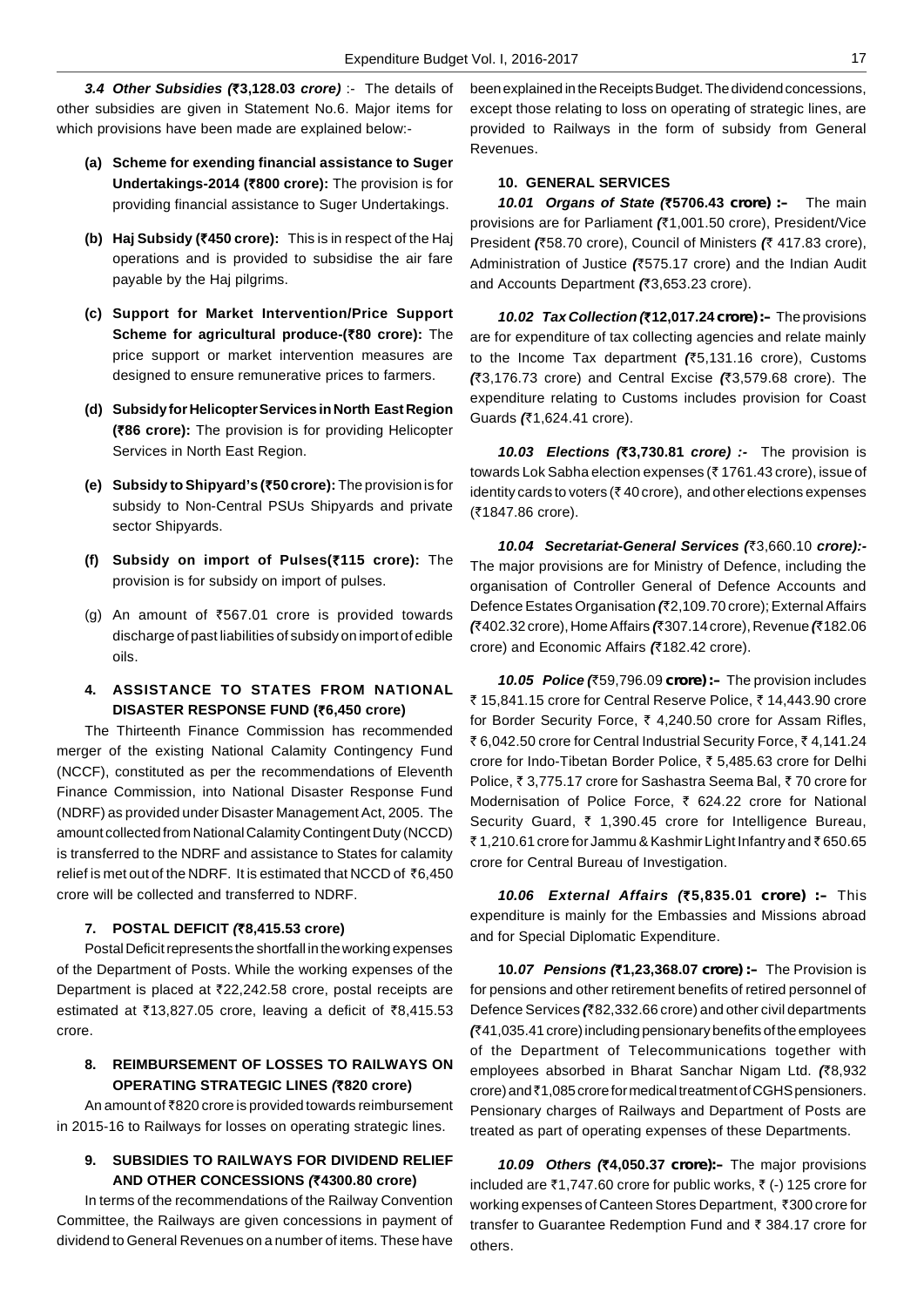**3.4 Other Subsidies (`3,128.03 crore)** :- The details of other subsidies are given in Statement No.6. Major items for which provisions have been made are explained below:-

- **(a) Scheme for exending financial assistance to Suger Undertakings-2014 (`800 crore):** The provision is for providing financial assistance to Suger Undertakings.
- **(b) Haj Subsidy (`450 crore):** This is in respect of the Haj operations and is provided to subsidise the air fare payable by the Haj pilgrims.
- **(c) Support for Market Intervention/Price Support Scheme for agricultural produce-(`80 crore):** The price support or market intervention measures are designed to ensure remunerative prices to farmers.
- **(d) Subsidy for Helicopter Services in North East Region (`86 crore):** The provision is for providing Helicopter Services in North East Region.
- **(e) Subsidy to Shipyard's (`50 crore):** The provision is for subsidy to Non-Central PSUs Shipyards and private sector Shipyards.
- **(f) Subsidy on import of Pulses(`115 crore):** The provision is for subsidy on import of pulses.
- (g) An amount of  $\overline{567.01}$  crore is provided towards discharge of past liabilities of subsidy on import of edible oils.
- **4. ASSISTANCE TO STATES FROM NATIONAL DISASTER RESPONSE FUND (`6,450 crore)**

The Thirteenth Finance Commission has recommended merger of the existing National Calamity Contingency Fund (NCCF), constituted as per the recommendations of Eleventh Finance Commission, into National Disaster Response Fund (NDRF) as provided under Disaster Management Act, 2005. The amount collected from National Calamity Contingent Duty (NCCD) is transferred to the NDRF and assistance to States for calamity relief is met out of the NDRF. It is estimated that NCCD of ₹6,450 crore will be collected and transferred to NDRF.

## **7. POSTAL DEFICIT (`8,415.53 crore)**

Postal Deficit represents the shortfall in the working expenses of the Department of Posts. While the working expenses of the Department is placed at  $\text{\texttt{722,242.58}}$  crore, postal receipts are estimated at  $\bar{z}$ 13,827.05 crore, leaving a deficit of  $\bar{z}$ 8,415.53 crore.

# **8. REIMBURSEMENT OF LOSSES TO RAILWAYS ON OPERATING STRATEGIC LINES (`820 crore)**

An amount of ₹820 crore is provided towards reimbursement in 2015-16 to Railways for losses on operating strategic lines.

## **9. SUBSIDIES TO RAILWAYS FOR DIVIDEND RELIEF AND OTHER CONCESSIONS (`4300.80 crore)**

In terms of the recommendations of the Railway Convention Committee, the Railways are given concessions in payment of dividend to General Revenues on a number of items. These have

been explained in the Receipts Budget. The dividend concessions, except those relating to loss on operating of strategic lines, are provided to Railways in the form of subsidy from General Revenues.

### **10. GENERAL SERVICES**

**10.01 Organs of State (`5706.43** *crore) :–* The main provisions are for Parliament **(**`1,001.50 crore), President/Vice President **(**`58.70 crore), Council of Ministers **(**` 417.83 crore), Administration of Justice **(**`575.17 crore) and the Indian Audit and Accounts Department **(**`3,653.23 crore).

**10.02 Tax Collection (`12,017.24** *crore) :–* The provisions are for expenditure of tax collecting agencies and relate mainly to the Income Tax department **(**`5,131.16 crore), Customs **(**`3,176.73 crore) and Central Excise **(**`3,579.68 crore). The expenditure relating to Customs includes provision for Coast Guards **(**`1,624.41 crore).

**10.03 Elections (`3,730.81 crore) :-** The provision is towards Lok Sabha election expenses (₹ 1761.43 crore), issue of identity cards to voters ( $\bar{\tau}$  40 crore), and other elections expenses (₹1847.86 crore).

**10.04 Secretariat-General Services (**`3,660.10 **crore):-** The major provisions are for Ministry of Defence, including the organisation of Controller General of Defence Accounts and Defence Estates Organisation **(**`2,109.70 crore); External Affairs **(**`402.32 crore), Home Affairs **(**`307.14 crore), Revenue **(**`182.06 crore) and Economic Affairs **(**`182.42 crore).

**10.05 Police (**`59,796.09 *crore) :–* The provision includes ₹ 15,841.15 crore for Central Reserve Police, ₹ 14,443.90 crore for Border Security Force, ₹ 4,240.50 crore for Assam Rifles, ₹ 6,042.50 crore for Central Industrial Security Force, ₹4,141.24 crore for Indo-Tibetan Border Police, ₹5,485,63 crore for Delhi Police, ₹3,775.17 crore for Sashastra Seema Bal, ₹70 crore for Modernisation of Police Force,  $\bar{\tau}$  624.22 crore for National Security Guard, ₹ 1,390.45 crore for Intelligence Bureau, ₹1,210.61 crore for Jammu & Kashmir Light Infantry and ₹650.65 crore for Central Bureau of Investigation.

**10.06 External Affairs (`5,835.01** *crore) :–* This expenditure is mainly for the Embassies and Missions abroad and for Special Diplomatic Expenditure.

**10.07 Pensions (`1,23,368.07** *crore) :–* The Provision is for pensions and other retirement benefits of retired personnel of Defence Services **(**`82,332.66 crore) and other civil departments **(**`41,035.41 crore) including pensionary benefits of the employees of the Department of Telecommunications together with employees absorbed in Bharat Sanchar Nigam Ltd. **(**`8,932 crore) and ₹1,085 crore for medical treatment of CGHS pensioners. Pensionary charges of Railways and Department of Posts are treated as part of operating expenses of these Departments.

**10.09 Others (`4,050.37** *crore):–* The major provisions included are  $\bar{\zeta}$ 1,747.60 crore for public works,  $\bar{\zeta}$  (-) 125 crore for working expenses of Canteen Stores Department, ₹300 crore for transfer to Guarantee Redemption Fund and  $\bar{\tau}$  384.17 crore for others.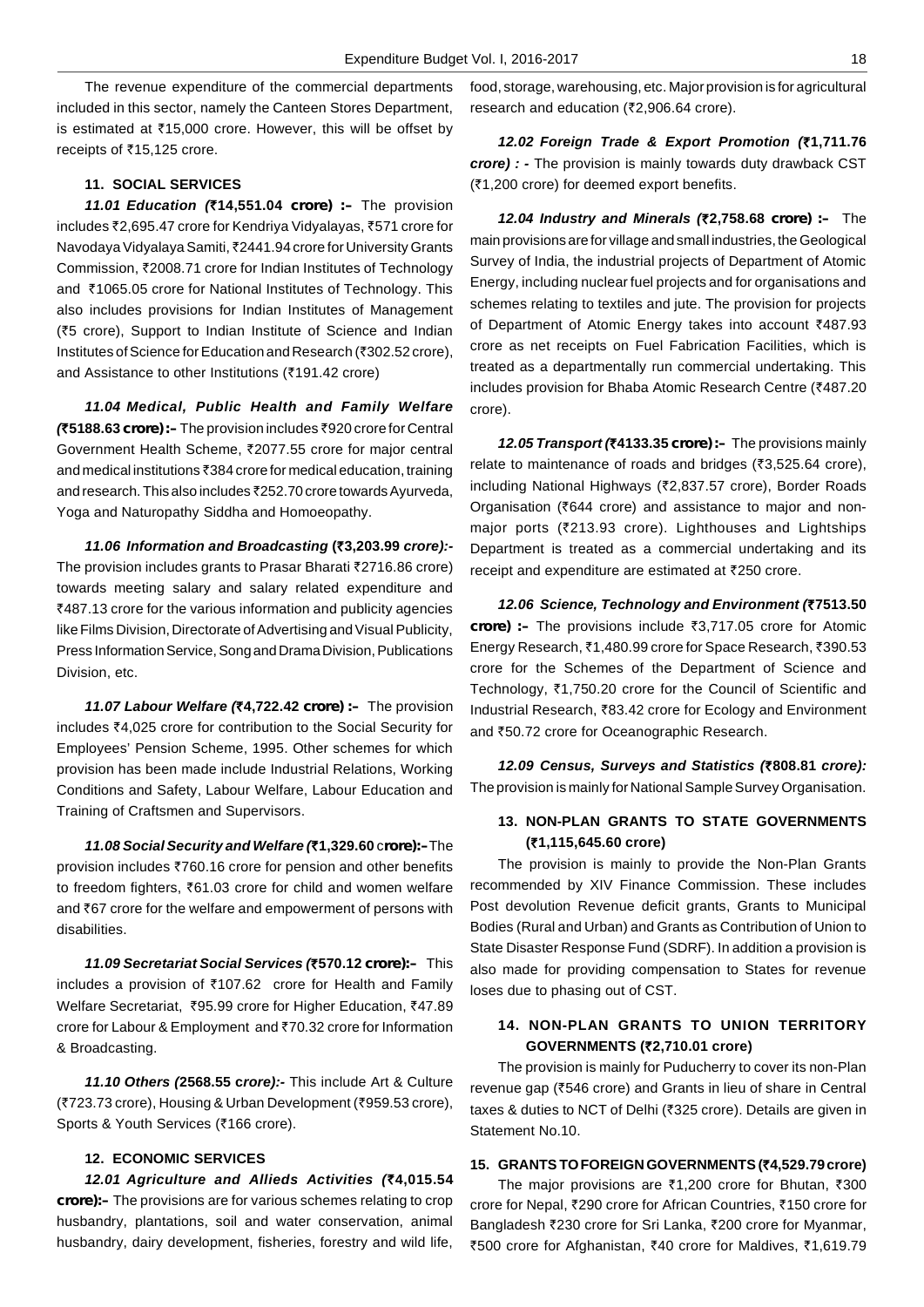The revenue expenditure of the commercial departments included in this sector, namely the Canteen Stores Department, is estimated at  $\text{\texttt{715,000}}$  crore. However, this will be offset by receipts of ₹15,125 crore.

### **11. SOCIAL SERVICES**

**11.01 Education (`14,551.04** *crore) :–* The provision includes ₹2,695.47 crore for Kendriya Vidyalayas, ₹571 crore for Navodaya Vidyalaya Samiti, `2441.94 crore for University Grants Commission, ₹2008.71 crore for Indian Institutes of Technology and ₹1065.05 crore for National Institutes of Technology. This also includes provisions for Indian Institutes of Management (`5 crore), Support to Indian Institute of Science and Indian Institutes of Science for Education and Research (₹302.52 crore), and Assistance to other Institutions (₹191.42 crore)

**11.04 Medical, Public Health and Family Welfare (`5188.63** *crore) :–* The provision includes `920 crore for Central Government Health Scheme, ₹2077.55 crore for major central and medical institutions ₹384 crore for medical education, training and research. This also includes ₹252.70 crore towards Ayurveda, Yoga and Naturopathy Siddha and Homoeopathy.

**11.06 Information and Broadcasting (`3,203.99 crore):-** The provision includes grants to Prasar Bharati ₹2716.86 crore) towards meeting salary and salary related expenditure and ₹487.13 crore for the various information and publicity agencies like Films Division, Directorate of Advertising and Visual Publicity, Press Information Service, Song and Drama Division, Publications Division, etc.

**11.07 Labour Welfare (`4,722.42** *crore) :–* The provision includes ₹4,025 crore for contribution to the Social Security for Employees' Pension Scheme, 1995. Other schemes for which provision has been made include Industrial Relations, Working Conditions and Safety, Labour Welfare, Labour Education and Training of Craftsmen and Supervisors.

**11.08 Social Security and Welfare (`1,329.60** c*rore):–*The provision includes `760.16 crore for pension and other benefits to freedom fighters, ₹61.03 crore for child and women welfare and ₹67 crore for the welfare and empowerment of persons with disabilities.

**11.09 Secretariat Social Services (`570.12** *crore):–* This includes a provision of  $\overline{5}107.62$  crore for Health and Family Welfare Secretariat, ₹95.99 crore for Higher Education, ₹47.89 crore for Labour & Employment and ₹70.32 crore for Information & Broadcasting.

**11.10 Others (2568.55 crore):-** This include Art & Culture (₹723.73 crore), Housing & Urban Development (₹959.53 crore), Sports & Youth Services (₹166 crore).

### **12. ECONOMIC SERVICES**

**12.01 Agriculture and Allieds Activities (`4,015.54** *crore):–* The provisions are for various schemes relating to crop husbandry, plantations, soil and water conservation, animal husbandry, dairy development, fisheries, forestry and wild life, food, storage, warehousing, etc. Major provision is for agricultural research and education (₹2,906.64 crore).

**12.02 Foreign Trade & Export Promotion (`1,711.76 crore) : -** The provision is mainly towards duty drawback CST (₹1,200 crore) for deemed export benefits.

**12.04 Industry and Minerals (`2,758.68** *crore) :–* The main provisions are for village and small industries, the Geological Survey of India, the industrial projects of Department of Atomic Energy, including nuclear fuel projects and for organisations and schemes relating to textiles and jute. The provision for projects of Department of Atomic Energy takes into account ₹487.93 crore as net receipts on Fuel Fabrication Facilities, which is treated as a departmentally run commercial undertaking. This includes provision for Bhaba Atomic Research Centre (₹487.20 crore).

**12.05 Transport (`4133.35** *crore) :–* The provisions mainly relate to maintenance of roads and bridges ( $\overline{3}$ , 525.64 crore), including National Highways (₹2,837.57 crore), Border Roads Organisation ( $\bar{c}$ 644 crore) and assistance to major and nonmajor ports ( $\overline{z}$ 213.93 crore). Lighthouses and Lightships Department is treated as a commercial undertaking and its receipt and expenditure are estimated at  $\bar{\tau}$ 250 crore.

**12.06 Science, Technology and Environment (`7513.50** *crore)* :– The provisions include ₹3,717.05 crore for Atomic Energy Research, ₹1,480.99 crore for Space Research, ₹390.53 crore for the Schemes of the Department of Science and Technology, ₹1,750.20 crore for the Council of Scientific and Industrial Research, `83.42 crore for Ecology and Environment and ₹50.72 crore for Oceanographic Research.

**12.09 Census, Surveys and Statistics (`808.81 crore):** The provision is mainly for National Sample Survey Organisation.

## **13. NON-PLAN GRANTS TO STATE GOVERNMENTS (`1,115,645.60 crore)**

The provision is mainly to provide the Non-Plan Grants recommended by XIV Finance Commission. These includes Post devolution Revenue deficit grants, Grants to Municipal Bodies (Rural and Urban) and Grants as Contribution of Union to State Disaster Response Fund (SDRF). In addition a provision is also made for providing compensation to States for revenue loses due to phasing out of CST.

# **14. NON-PLAN GRANTS TO UNION TERRITORY GOVERNMENTS (`2,710.01 crore)**

The provision is mainly for Puducherry to cover its non-Plan revenue gap (₹546 crore) and Grants in lieu of share in Central taxes & duties to NCT of Delhi (₹325 crore). Details are given in Statement No.10.

## **15. GRANTS TO FOREIGN GOVERNMENTS (`4,529.79 crore)**

The major provisions are  $\bar{\zeta}$ 1,200 crore for Bhutan,  $\bar{\zeta}$ 300 crore for Nepal, ₹290 crore for African Countries, ₹150 crore for Bangladesh ₹230 crore for Sri Lanka, ₹200 crore for Myanmar, ₹500 crore for Afghanistan, ₹40 crore for Maldives, ₹1,619.79